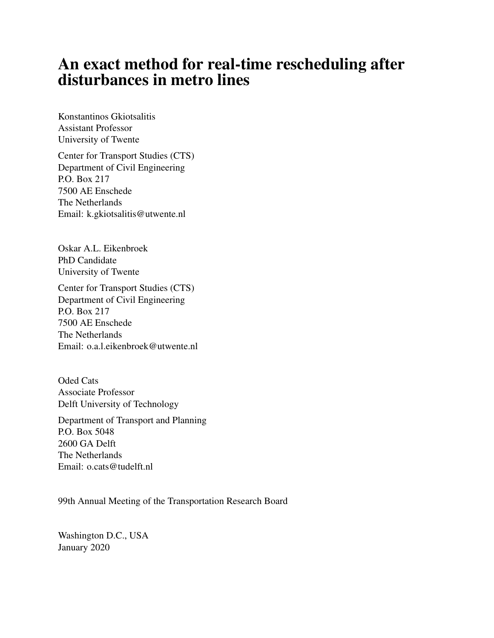# An exact method for real-time rescheduling after disturbances in metro lines

Konstantinos Gkiotsalitis Assistant Professor University of Twente

Center for Transport Studies (CTS) Department of Civil Engineering P.O. Box 217 7500 AE Enschede The Netherlands Email: k.gkiotsalitis@utwente.nl

Oskar A.L. Eikenbroek PhD Candidate University of Twente

Center for Transport Studies (CTS) Department of Civil Engineering P.O. Box 217 7500 AE Enschede The Netherlands Email: o.a.l.eikenbroek@utwente.nl

Oded Cats Associate Professor Delft University of Technology

Department of Transport and Planning P.O. Box 5048 2600 GA Delft The Netherlands Email: o.cats@tudelft.nl

99th Annual Meeting of the Transportation Research Board

Washington D.C., USA January 2020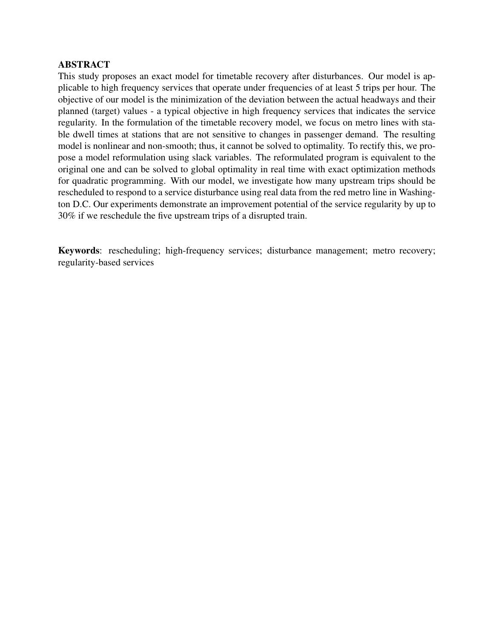# ABSTRACT

This study proposes an exact model for timetable recovery after disturbances. Our model is applicable to high frequency services that operate under frequencies of at least 5 trips per hour. The objective of our model is the minimization of the deviation between the actual headways and their planned (target) values - a typical objective in high frequency services that indicates the service regularity. In the formulation of the timetable recovery model, we focus on metro lines with stable dwell times at stations that are not sensitive to changes in passenger demand. The resulting model is nonlinear and non-smooth; thus, it cannot be solved to optimality. To rectify this, we propose a model reformulation using slack variables. The reformulated program is equivalent to the original one and can be solved to global optimality in real time with exact optimization methods for quadratic programming. With our model, we investigate how many upstream trips should be rescheduled to respond to a service disturbance using real data from the red metro line in Washington D.C. Our experiments demonstrate an improvement potential of the service regularity by up to 30% if we reschedule the five upstream trips of a disrupted train.

Keywords: rescheduling; high-frequency services; disturbance management; metro recovery; regularity-based services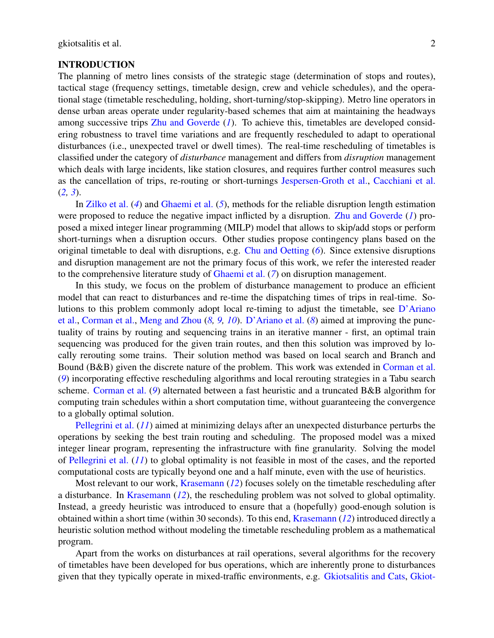#### INTRODUCTION

The planning of metro lines consists of the strategic stage (determination of stops and routes), tactical stage (frequency settings, timetable design, crew and vehicle schedules), and the operational stage (timetable rescheduling, holding, short-turning/stop-skipping). Metro line operators in dense urban areas operate under regularity-based schemes that aim at maintaining the headways among successive trips [Zhu and Goverde](#page-16-0) (*[1](#page-16-0)*). To achieve this, timetables are developed considering robustness to travel time variations and are frequently rescheduled to adapt to operational disturbances (i.e., unexpected travel or dwell times). The real-time rescheduling of timetables is classified under the category of *disturbance* management and differs from *disruption* management which deals with large incidents, like station closures, and requires further control measures such as the cancellation of trips, re-routing or short-turnings [Jespersen-Groth et al.,](#page-16-1) [Cacchiani et al.](#page-16-2)  $(2, 3)$  $(2, 3)$  $(2, 3)$  $(2, 3)$  $(2, 3)$ .

In [Zilko et al.](#page-16-3) (*[4](#page-16-3)*) and [Ghaemi et al.](#page-16-4) (*[5](#page-16-4)*), methods for the reliable disruption length estimation were proposed to reduce the negative impact inflicted by a disruption. [Zhu and Goverde](#page-16-0) (*[1](#page-16-0)*) proposed a mixed integer linear programming (MILP) model that allows to skip/add stops or perform short-turnings when a disruption occurs. Other studies propose contingency plans based on the original timetable to deal with disruptions, e.g. [Chu and Oetting](#page-17-0) (*[6](#page-17-0)*). Since extensive disruptions and disruption management are not the primary focus of this work, we refer the interested reader to the comprehensive literature study of [Ghaemi et al.](#page-17-1) (*[7](#page-17-1)*) on disruption management.

In this study, we focus on the problem of disturbance management to produce an efficient model that can react to disturbances and re-time the dispatching times of trips in real-time. Solutions to this problem commonly adopt local re-timing to adjust the timetable, see [D'Ariano](#page-17-2) [et al.,](#page-17-2) [Corman et al.,](#page-17-3) [Meng and Zhou](#page-17-4) (*[8,](#page-17-2) [9,](#page-17-3) [10](#page-17-4)*). [D'Ariano et al.](#page-17-2) (*[8](#page-17-2)*) aimed at improving the punctuality of trains by routing and sequencing trains in an iterative manner - first, an optimal train sequencing was produced for the given train routes, and then this solution was improved by locally rerouting some trains. Their solution method was based on local search and Branch and Bound (B&B) given the discrete nature of the problem. This work was extended in [Corman et al.](#page-17-3) (*[9](#page-17-3)*) incorporating effective rescheduling algorithms and local rerouting strategies in a Tabu search scheme. [Corman et al.](#page-17-3) (*[9](#page-17-3)*) alternated between a fast heuristic and a truncated B&B algorithm for computing train schedules within a short computation time, without guaranteeing the convergence to a globally optimal solution.

[Pellegrini et al.](#page-17-5) (*[11](#page-17-5)*) aimed at minimizing delays after an unexpected disturbance perturbs the operations by seeking the best train routing and scheduling. The proposed model was a mixed integer linear program, representing the infrastructure with fine granularity. Solving the model of [Pellegrini et al.](#page-17-5) (*[11](#page-17-5)*) to global optimality is not feasible in most of the cases, and the reported computational costs are typically beyond one and a half minute, even with the use of heuristics.

Most relevant to our work, [Krasemann](#page-17-6) (*[12](#page-17-6)*) focuses solely on the timetable rescheduling after a disturbance. In [Krasemann](#page-17-6) (*[12](#page-17-6)*), the rescheduling problem was not solved to global optimality. Instead, a greedy heuristic was introduced to ensure that a (hopefully) good-enough solution is obtained within a short time (within 30 seconds). To this end, [Krasemann](#page-17-6) (*[12](#page-17-6)*) introduced directly a heuristic solution method without modeling the timetable rescheduling problem as a mathematical program.

Apart from the works on disturbances at rail operations, several algorithms for the recovery of timetables have been developed for bus operations, which are inherently prone to disturbances given that they typically operate in mixed-traffic environments, e.g. [Gkiotsalitis and Cats,](#page-17-7) [Gkiot-](#page-17-8)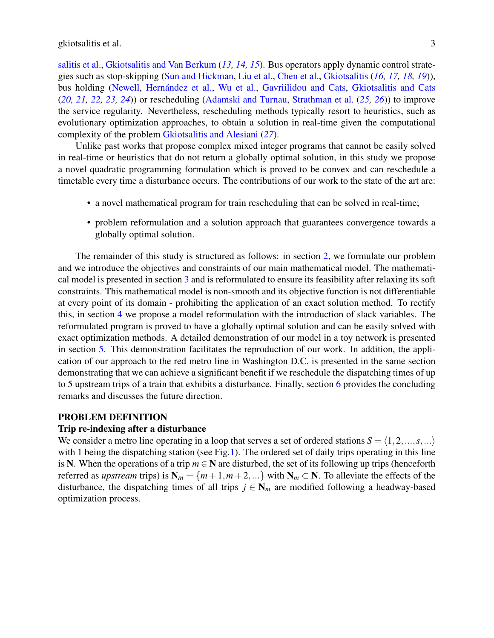[salitis et al.,](#page-17-8) [Gkiotsalitis and Van Berkum](#page-17-9) (*[13,](#page-17-7) [14,](#page-17-8) [15](#page-17-9)*). Bus operators apply dynamic control strategies such as stop-skipping [\(Sun and Hickman,](#page-17-10) [Liu et al.,](#page-17-11) [Chen et al.,](#page-17-12) [Gkiotsalitis](#page-17-13) (*[16,](#page-17-10) [17,](#page-17-11) [18,](#page-17-12) [19](#page-17-13)*)), bus holding [\(Newell,](#page-17-14) [Hernández et al.,](#page-17-15) [Wu et al.,](#page-17-16) [Gavriilidou and Cats,](#page-18-0) [Gkiotsalitis and Cats](#page-18-1) (*[20,](#page-17-14) [21,](#page-17-15) [22,](#page-17-16) [23,](#page-18-0) [24](#page-18-1)*)) or rescheduling [\(Adamski and Turnau,](#page-18-2) [Strathman et al.](#page-18-3) (*[25,](#page-18-2) [26](#page-18-3)*)) to improve the service regularity. Nevertheless, rescheduling methods typically resort to heuristics, such as evolutionary optimization approaches, to obtain a solution in real-time given the computational complexity of the problem [Gkiotsalitis and Alesiani](#page-18-4) (*[27](#page-18-4)*).

Unlike past works that propose complex mixed integer programs that cannot be easily solved in real-time or heuristics that do not return a globally optimal solution, in this study we propose a novel quadratic programming formulation which is proved to be convex and can reschedule a timetable every time a disturbance occurs. The contributions of our work to the state of the art are:

- a novel mathematical program for train rescheduling that can be solved in real-time;
- problem reformulation and a solution approach that guarantees convergence towards a globally optimal solution.

The remainder of this study is structured as follows: in section [2,](#page-3-0) we formulate our problem and we introduce the objectives and constraints of our main mathematical model. The mathematical model is presented in section [3](#page-8-0) and is reformulated to ensure its feasibility after relaxing its soft constraints. This mathematical model is non-smooth and its objective function is not differentiable at every point of its domain - prohibiting the application of an exact solution method. To rectify this, in section [4](#page-9-0) we propose a model reformulation with the introduction of slack variables. The reformulated program is proved to have a globally optimal solution and can be easily solved with exact optimization methods. A detailed demonstration of our model in a toy network is presented in section [5.](#page-9-1) This demonstration facilitates the reproduction of our work. In addition, the application of our approach to the red metro line in Washington D.C. is presented in the same section demonstrating that we can achieve a significant benefit if we reschedule the dispatching times of up to 5 upstream trips of a train that exhibits a disturbance. Finally, section [6](#page-15-0) provides the concluding remarks and discusses the future direction.

#### <span id="page-3-0"></span>PROBLEM DEFINITION

#### Trip re-indexing after a disturbance

We consider a metro line operating in a loop that serves a set of ordered stations  $S = \langle 1, 2, ..., s, ...\rangle$ with 1 being the dispatching station (see Fig[.1\)](#page-4-0). The ordered set of daily trips operating in this line is N. When the operations of a trip  $m \in N$  are disturbed, the set of its following up trips (henceforth referred as *upstream* trips) is  $N_m = \{m+1, m+2, ...\}$  with  $N_m \subset N$ . To alleviate the effects of the disturbance, the dispatching times of all trips  $j \in N_m$  are modified following a headway-based optimization process.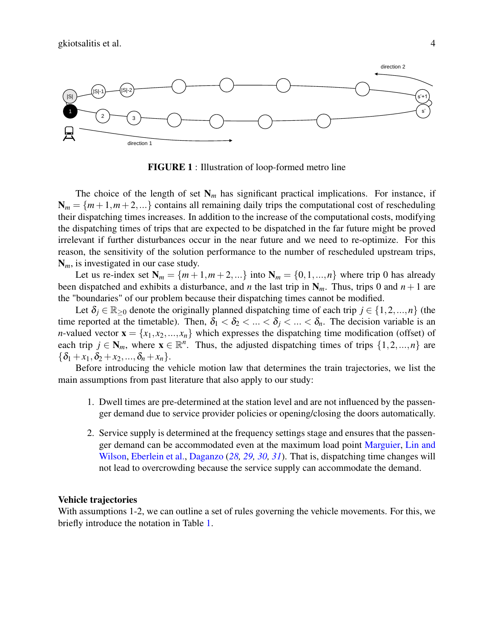<span id="page-4-0"></span>

FIGURE 1 : Illustration of loop-formed metro line

The choice of the length of set  $N_m$  has significant practical implications. For instance, if  $N_m = \{m+1,m+2,...\}$  contains all remaining daily trips the computational cost of rescheduling their dispatching times increases. In addition to the increase of the computational costs, modifying the dispatching times of trips that are expected to be dispatched in the far future might be proved irrelevant if further disturbances occur in the near future and we need to re-optimize. For this reason, the sensitivity of the solution performance to the number of rescheduled upstream trips, N*m*, is investigated in our case study.

Let us re-index set  $N_m = \{m+1, m+2, ...\}$  into  $N_m = \{0, 1, ..., n\}$  where trip 0 has already been dispatched and exhibits a disturbance, and *n* the last trip in  $N_m$ . Thus, trips 0 and  $n + 1$  are the "boundaries" of our problem because their dispatching times cannot be modified.

Let  $\delta_j \in \mathbb{R}_{\geq 0}$  denote the originally planned dispatching time of each trip  $j \in \{1, 2, ..., n\}$  (the time reported at the timetable). Then,  $\delta_1 < \delta_2 < ... < \delta_i < ... < \delta_n$ . The decision variable is an *n*-valued vector  $\mathbf{x} = \{x_1, x_2, ..., x_n\}$  which expresses the dispatching time modification (offset) of each trip  $j \in \mathbb{N}_m$ , where  $\mathbf{x} \in \mathbb{R}^n$ . Thus, the adjusted dispatching times of trips  $\{1, 2, ..., n\}$  are  ${\delta_1 + x_1, \delta_2 + x_2, ..., \delta_n + x_n}.$ 

Before introducing the vehicle motion law that determines the train trajectories, we list the main assumptions from past literature that also apply to our study:

- 1. Dwell times are pre-determined at the station level and are not influenced by the passenger demand due to service provider policies or opening/closing the doors automatically.
- 2. Service supply is determined at the frequency settings stage and ensures that the passenger demand can be accommodated even at the maximum load point [Marguier,](#page-18-5) [Lin and](#page-18-6) [Wilson,](#page-18-6) [Eberlein et al.,](#page-18-7) [Daganzo](#page-18-8) (*[28,](#page-18-5) [29,](#page-18-6) [30,](#page-18-7) [31](#page-18-8)*). That is, dispatching time changes will not lead to overcrowding because the service supply can accommodate the demand.

#### Vehicle trajectories

With assumptions 1-2, we can outline a set of rules governing the vehicle movements. For this, we briefly introduce the notation in Table [1.](#page-5-0)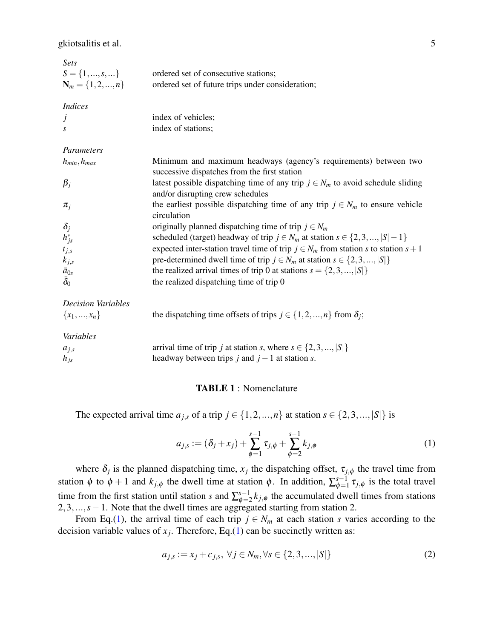gkiotsalitis et al. 5

<span id="page-5-0"></span>

| <b>Sets</b>               |                                                                                                                        |
|---------------------------|------------------------------------------------------------------------------------------------------------------------|
| $S = \{1, , s, \}$        | ordered set of consecutive stations;                                                                                   |
| $N_m = \{1, 2, , n\}$     | ordered set of future trips under consideration;                                                                       |
| <b>Indices</b>            |                                                                                                                        |
| J                         | index of vehicles;                                                                                                     |
| S                         | index of stations;                                                                                                     |
| Parameters                |                                                                                                                        |
| $h_{min}, h_{max}$        | Minimum and maximum headways (agency's requirements) between two<br>successive dispatches from the first station       |
| $\beta_j$                 | latest possible dispatching time of any trip $j \in N_m$ to avoid schedule sliding<br>and/or disrupting crew schedules |
| $\pi_i$                   | the earliest possible dispatching time of any trip $j \in N_m$ to ensure vehicle<br>circulation                        |
| $\delta_j$                | originally planned dispatching time of trip $j \in N_m$                                                                |
| $h_{js}^*$                | scheduled (target) headway of trip $j \in N_m$ at station $s \in \{2, 3, ,  S  - 1\}$                                  |
| $t_{j,s}$                 | expected inter-station travel time of trip $j \in N_m$ from station s to station $s + 1$                               |
| $k_{j,s}$                 | pre-determined dwell time of trip $j \in N_m$ at station $s \in \{2, 3, ,  S \}$                                       |
| $\bar{a}_{0s}$            | the realized arrival times of trip 0 at stations $s = \{2, 3, ,  S \}$                                                 |
| $\bar{\delta}_0$          | the realized dispatching time of trip 0                                                                                |
| <b>Decision Variables</b> |                                                                                                                        |
| ${x_1,,x_n}$              | the dispatching time offsets of trips $j \in \{1, 2, , n\}$ from $\delta_j$ ;                                          |
| Variables                 |                                                                                                                        |
| $a_{2}$                   | arrival time of trin <i>i</i> at station <i>s</i> where $s \in \{2, 3, \ldots, n\}$<br> S                              |

arrival time of trip *j* at station *s*, where  $s \in \{2, 3, ..., |S|\}$ *h*<sub>*js*</sub> headway between trips *j* and *j* − 1 at station *s*.

#### TABLE 1 : Nomenclature

<span id="page-5-1"></span>The expected arrival time  $a_{j,s}$  of a trip  $j \in \{1,2,...,n\}$  at station  $s \in \{2,3,...,|S|\}$  is

$$
a_{j,s} := (\delta_j + x_j) + \sum_{\phi=1}^{s-1} \tau_{j,\phi} + \sum_{\phi=2}^{s-1} k_{j,\phi}
$$
 (1)

where  $\delta_j$  is the planned dispatching time,  $x_j$  the dispatching offset,  $\tau_{j,\phi}$  the travel time from station  $\phi$  to  $\phi + 1$  and  $k_{j,\phi}$  the dwell time at station  $\phi$ . In addition,  $\sum_{\phi=1}^{s-1}$  $\int_{\phi=1}^{s-1} \tau_{j,\phi}$  is the total travel time from the first station until station *s* and  $\sum_{\phi=2}^{s-1}$  $\phi = \phi^{-1} k_{j,\phi}$  the accumulated dwell times from stations 2,3,...,*s* − 1. Note that the dwell times are aggregated starting from station 2.

From Eq.[\(1\)](#page-5-1), the arrival time of each trip  $j \in N_m$  at each station *s* varies according to the decision variable values of  $x_j$ . Therefore, Eq.[\(1\)](#page-5-1) can be succinctly written as:

$$
a_{j,s} := x_j + c_{j,s}, \ \forall j \in N_m, \forall s \in \{2, 3, ..., |S|\}
$$
 (2)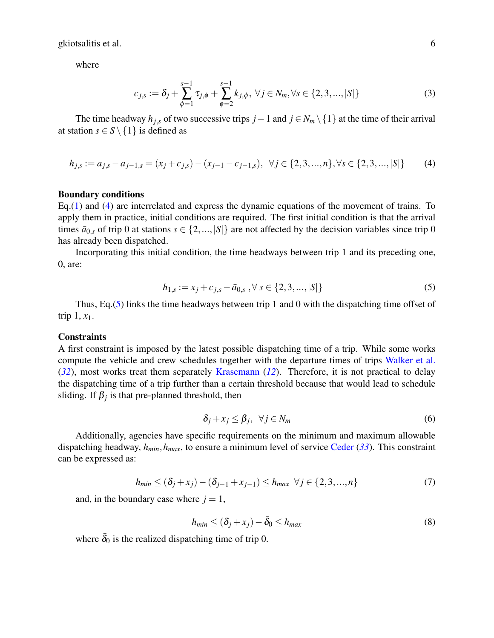<span id="page-6-2"></span>where

$$
c_{j,s} := \delta_j + \sum_{\phi=1}^{s-1} \tau_{j,\phi} + \sum_{\phi=2}^{s-1} k_{j,\phi}, \ \forall j \in N_m, \forall s \in \{2,3,...,|S|\}
$$
(3)

<span id="page-6-0"></span>The time headway  $h_{j,s}$  of two successive trips  $j-1$  and  $j \in N_m \setminus \{1\}$  at the time of their arrival at station  $s \in S \setminus \{1\}$  is defined as

$$
h_{j,s} := a_{j,s} - a_{j-1,s} = (x_j + c_{j,s}) - (x_{j-1} - c_{j-1,s}), \ \ \forall j \in \{2,3,...,n\}, \forall s \in \{2,3,...,|S|\}
$$
(4)

## Boundary conditions

Eq.[\(1\)](#page-5-1) and [\(4\)](#page-6-0) are interrelated and express the dynamic equations of the movement of trains. To apply them in practice, initial conditions are required. The first initial condition is that the arrival times  $\bar{a}_{0,s}$  of trip 0 at stations  $s \in \{2,...,|S|\}$  are not affected by the decision variables since trip 0 has already been dispatched.

<span id="page-6-1"></span>Incorporating this initial condition, the time headways between trip 1 and its preceding one, 0, are:

$$
h_{1,s} := x_j + c_{j,s} - \bar{a}_{0,s}, \forall s \in \{2,3,...,|S|\}
$$
\n<sup>(5)</sup>

Thus, Eq.[\(5\)](#page-6-1) links the time headways between trip 1 and 0 with the dispatching time offset of trip  $1, x_1$ .

#### **Constraints**

A first constraint is imposed by the latest possible dispatching time of a trip. While some works compute the vehicle and crew schedules together with the departure times of trips [Walker et al.](#page-18-9) (*[32](#page-18-9)*), most works treat them separately [Krasemann](#page-17-6) (*[12](#page-17-6)*). Therefore, it is not practical to delay the dispatching time of a trip further than a certain threshold because that would lead to schedule sliding. If  $\beta_j$  is that pre-planned threshold, then

$$
\delta_j + x_j \le \beta_j, \ \forall j \in N_m \tag{6}
$$

<span id="page-6-4"></span><span id="page-6-3"></span>Additionally, agencies have specific requirements on the minimum and maximum allowable dispatching headway, *hmin*,*hmax*, to ensure a minimum level of service [Ceder](#page-18-10) (*[33](#page-18-10)*). This constraint can be expressed as:

$$
h_{min} \le (\delta_j + x_j) - (\delta_{j-1} + x_{j-1}) \le h_{max} \ \forall j \in \{2, 3, ..., n\}
$$
 (7)

<span id="page-6-5"></span>and, in the boundary case where  $j = 1$ ,

$$
h_{min} \le (\delta_j + x_j) - \bar{\delta}_0 \le h_{max} \tag{8}
$$

where  $\bar{\delta}_0$  is the realized dispatching time of trip 0.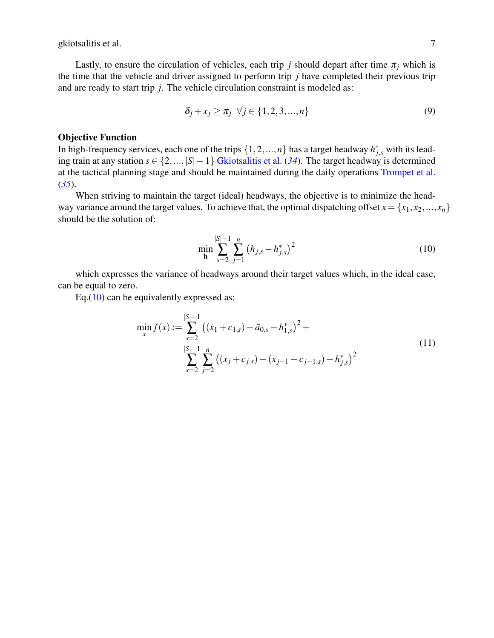<span id="page-7-1"></span>Lastly, to ensure the circulation of vehicles, each trip *j* should depart after time  $\pi$ <sub>*i*</sub> which is the time that the vehicle and driver assigned to perform trip *j* have completed their previous trip and are ready to start trip *j*. The vehicle circulation constraint is modeled as:

$$
\delta_j + x_j \ge \pi_j \quad \forall j \in \{1, 2, 3, \dots, n\}
$$
\n
$$
(9)
$$

## Objective Function

In high-frequency services, each one of the trips  $\{1, 2, ..., n\}$  has a target headway  $h_{j,s}^*$  with its leading train at any station *s* ∈ {2,...,|*S*|−1} [Gkiotsalitis et al.](#page-18-11) (*[34](#page-18-11)*). The target headway is determined at the tactical planning stage and should be maintained during the daily operations [Trompet et al.](#page-18-12) (*[35](#page-18-12)*).

<span id="page-7-0"></span>When striving to maintain the target (ideal) headways, the objective is to minimize the headway variance around the target values. To achieve that, the optimal dispatching offset  $x = \{x_1, x_2, ..., x_n\}$ should be the solution of:

$$
\min_{\mathbf{h}} \sum_{s=2}^{|S|-1} \sum_{j=1}^{n} (h_{j,s} - h_{j,s}^*)^2
$$
 (10)

which expresses the variance of headways around their target values which, in the ideal case, can be equal to zero.

<span id="page-7-2"></span>Eq. $(10)$  can be equivalently expressed as:

$$
\min_{x} f(x) := \sum_{s=2}^{|S|-1} ((x_1 + c_{1,s}) - \bar{a}_{0,s} - h_{1,s}^*)^2 + \sum_{s=2}^{|S|-1} \sum_{j=2}^n ((x_j + c_{j,s}) - (x_{j-1} + c_{j-1,s}) - h_{j,s}^*)^2
$$
\n(11)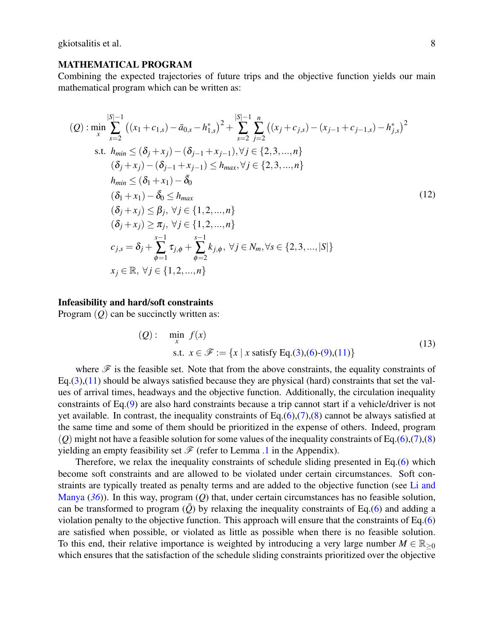#### <span id="page-8-0"></span>MATHEMATICAL PROGRAM

Combining the expected trajectories of future trips and the objective function yields our main mathematical program which can be written as:

$$
(Q): \min_{x} \sum_{s=2}^{|S|-1} ((x_1 + c_{1,s}) - \bar{a}_{0,s} - h_{1,s}^*)^2 + \sum_{s=2}^{|S|-1} \sum_{j=2}^n ((x_j + c_{j,s}) - (x_{j-1} + c_{j-1,s}) - h_{j,s}^*)^2
$$
  
s.t.  $h_{min} \leq (\delta_j + x_j) - (\delta_{j-1} + x_{j-1}), \forall j \in \{2, 3, ..., n\}$   
 $(\delta_j + x_j) - (\delta_{j-1} + x_{j-1}) \leq h_{max}, \forall j \in \{2, 3, ..., n\}$   
 $h_{min} \leq (\delta_1 + x_1) - \bar{\delta_0}$   
 $(\delta_1 + x_1) - \bar{\delta_0} \leq h_{max}$   
 $(\delta_j + x_j) \leq \beta_j, \forall j \in \{1, 2, ..., n\}$   
 $(\delta_j + x_j) \geq \pi_j, \forall j \in \{1, 2, ..., n\}$   
 $c_{j,s} = \delta_j + \sum_{\phi=1}^{s-1} \tau_{j,\phi} + \sum_{\phi=2}^{s-1} k_{j,\phi}, \forall j \in N_m, \forall s \in \{2, 3, ..., |S|\}$   
 $x_j \in \mathbb{R}, \forall j \in \{1, 2, ..., n\}$ 

#### Infeasibility and hard/soft constraints

Program (*Q*) can be succinctly written as:

(Q): 
$$
\min_{x} f(x)
$$
  
s.t.  $x \in \mathcal{F} := \{x \mid x \text{ satisfy Eq.}(3), (6) - (9), (11)\}\$  (13)

where  $\mathscr F$  is the feasible set. Note that from the above constraints, the equality constraints of Eq.[\(3\)](#page-6-2),[\(11\)](#page-7-2) should be always satisfied because they are physical (hard) constraints that set the values of arrival times, headways and the objective function. Additionally, the circulation inequality constraints of Eq.[\(9\)](#page-7-1) are also hard constraints because a trip cannot start if a vehicle/driver is not yet available. In contrast, the inequality constraints of  $Eq.(6),(7),(8)$  $Eq.(6),(7),(8)$  $Eq.(6),(7),(8)$  $Eq.(6),(7),(8)$  $Eq.(6),(7),(8)$  $Eq.(6),(7),(8)$  cannot be always satisfied at the same time and some of them should be prioritized in the expense of others. Indeed, program  $(Q)$  might not have a feasible solution for some values of the inequality constraints of Eq.[\(6\)](#page-6-3),[\(7\)](#page-6-4),[\(8\)](#page-6-5) yielding an empty feasibility set  $\mathcal F$  (refer to Lemma [.1](#page-18-13) in the Appendix).

Therefore, we relax the inequality constraints of schedule sliding presented in Eq.[\(6\)](#page-6-3) which become soft constraints and are allowed to be violated under certain circumstances. Soft constraints are typically treated as penalty terms and are added to the objective function (see [Li and](#page-18-14) [Manya](#page-18-14) (*[36](#page-18-14)*)). In this way, program (*Q*) that, under certain circumstances has no feasible solution, can be transformed to program  $(\bar{Q})$  by relaxing the inequality constraints of Eq.[\(6\)](#page-6-3) and adding a violation penalty to the objective function. This approach will ensure that the constraints of Eq.[\(6\)](#page-6-3) are satisfied when possible, or violated as little as possible when there is no feasible solution. To this end, their relative importance is weighted by introducing a very large number  $M \in \mathbb{R}_{\geq 0}$ which ensures that the satisfaction of the schedule sliding constraints prioritized over the objective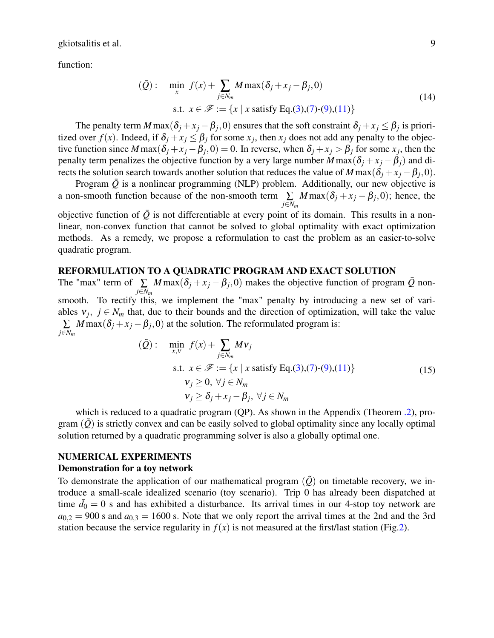function:

$$
(\bar{Q}): \min_{x} f(x) + \sum_{j \in N_m} M \max(\delta_j + x_j - \beta_j, 0)
$$
  
s.t.  $x \in \mathcal{F} := \{x \mid x \text{ satisfy Eq.}(3), (7) - (9), (11)\}\$  (14)

The penalty term  $M$  max $(\delta_j + x_j - \beta_j, 0)$  ensures that the soft constraint  $\delta_j + x_j \leq \beta_j$  is prioritized over  $f(x)$ . Indeed, if  $\delta_j + x_j \leq \beta_j$  for some  $x_j$ , then  $x_j$  does not add any penalty to the objective function since  $M$  max $(\delta_j + x_j - \beta_j, 0) = 0$ . In reverse, when  $\delta_j + x_j > \beta_j$  for some  $x_j$ , then the penalty term penalizes the objective function by a very large number  $M \max(\delta_i + x_i - \beta_i)$  and directs the solution search towards another solution that reduces the value of  $M \max(\delta_j + x_j - \beta_j, 0)$ .

Program  $\overline{Q}$  is a nonlinear programming (NLP) problem. Additionally, our new objective is a non-smooth function because of the non-smooth term  $\sum$ *j*∈*N<sup>m</sup>*  $M \max(\delta_j + x_j - \beta_j, 0)$ ; hence, the

objective function of  $\overline{Q}$  is not differentiable at every point of its domain. This results in a nonlinear, non-convex function that cannot be solved to global optimality with exact optimization methods. As a remedy, we propose a reformulation to cast the problem as an easier-to-solve quadratic program.

## <span id="page-9-0"></span>REFORMULATION TO A QUADRATIC PROGRAM AND EXACT SOLUTION

The "max" term of  $\sum$ *j*∈*N<sup>m</sup> M* max( $\delta_j$  +  $x_j$  –  $\beta_j$ , 0) makes the objective function of program  $\overline{Q}$  nonsmooth. To rectify this, we implement the "max" penalty by introducing a new set of variables  $v_j$ ,  $j \in N_m$  that, due to their bounds and the direction of optimization, will take the value ∑ *j*∈*N<sup>m</sup>*  $M$  max $(\delta_j + x_j - \beta_j, 0)$  at the solution. The reformulated program is:

$$
(\tilde{Q}) : \min_{x, v} f(x) + \sum_{j \in N_m} Mv_j
$$
  
s.t.  $x \in \mathcal{F} := \{x \mid x \text{ satisfy Eq.}(3), (7) - (9), (11)\}$   
 $v_j \ge 0, \forall j \in N_m$   
 $v_j \ge \delta_j + x_j - \beta_j, \forall j \in N_m$  (15)

which is reduced to a quadratic program (QP). As shown in the Appendix (Theorem [.2\)](#page-19-0), program  $(\tilde{Q})$  is strictly convex and can be easily solved to global optimality since any locally optimal solution returned by a quadratic programming solver is also a globally optimal one.

## <span id="page-9-1"></span>NUMERICAL EXPERIMENTS

#### Demonstration for a toy network

To demonstrate the application of our mathematical program  $(\tilde{Q})$  on timetable recovery, we introduce a small-scale idealized scenario (toy scenario). Trip 0 has already been dispatched at time  $\bar{d}_0 = 0$  s and has exhibited a disturbance. Its arrival times in our 4-stop toy network are  $a_{0,2} = 900$  s and  $a_{0,3} = 1600$  s. Note that we only report the arrival times at the 2nd and the 3rd station because the service regularity in  $f(x)$  is not measured at the first/last station (Fig[.2\)](#page-10-0).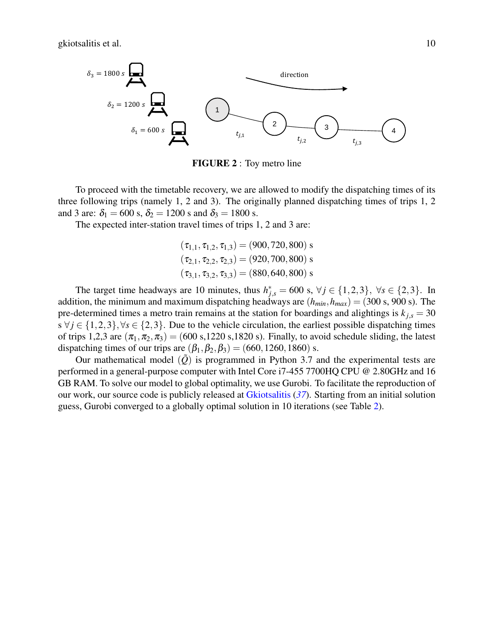<span id="page-10-0"></span>

FIGURE 2 : Toy metro line

To proceed with the timetable recovery, we are allowed to modify the dispatching times of its three following trips (namely 1, 2 and 3). The originally planned dispatching times of trips 1, 2 and 3 are:  $\delta_1 = 600 \text{ s}, \delta_2 = 1200 \text{ s}$  and  $\delta_3 = 1800 \text{ s}$ .

The expected inter-station travel times of trips 1, 2 and 3 are:

$$
(\tau_{1,1}, \tau_{1,2}, \tau_{1,3}) = (900, 720, 800) \text{ s}
$$

$$
(\tau_{2,1}, \tau_{2,2}, \tau_{2,3}) = (920, 700, 800) \text{ s}
$$

$$
(\tau_{3,1}, \tau_{3,2}, \tau_{3,3}) = (880, 640, 800) \text{ s}
$$

The target time headways are 10 minutes, thus  $h_{j,s}^* = 600$  s,  $\forall j \in \{1,2,3\}$ ,  $\forall s \in \{2,3\}$ . In addition, the minimum and maximum dispatching headways are  $(h_{min}, h_{max}) = (300 \text{ s}, 900 \text{ s})$ . The pre-determined times a metro train remains at the station for boardings and alightings is  $k_{j,s} = 30$ s  $\forall j \in \{1,2,3\}, \forall s \in \{2,3\}.$  Due to the vehicle circulation, the earliest possible dispatching times of trips 1,2,3 are  $(\pi_1, \pi_2, \pi_3)$  = (600 s,1220 s,1820 s). Finally, to avoid schedule sliding, the latest dispatching times of our trips are  $(\beta_1, \beta_2, \beta_3) = (660, 1260, 1860)$  s.

Our mathematical model  $(\tilde{Q})$  is programmed in Python 3.7 and the experimental tests are performed in a general-purpose computer with Intel Core i7-455 7700HQ CPU @ 2.80GHz and 16 GB RAM. To solve our model to global optimality, we use Gurobi. To facilitate the reproduction of our work, our source code is publicly released at [Gkiotsalitis](#page-18-15) (*[37](#page-18-15)*). Starting from an initial solution guess, Gurobi converged to a globally optimal solution in 10 iterations (see Table [2\)](#page-11-0).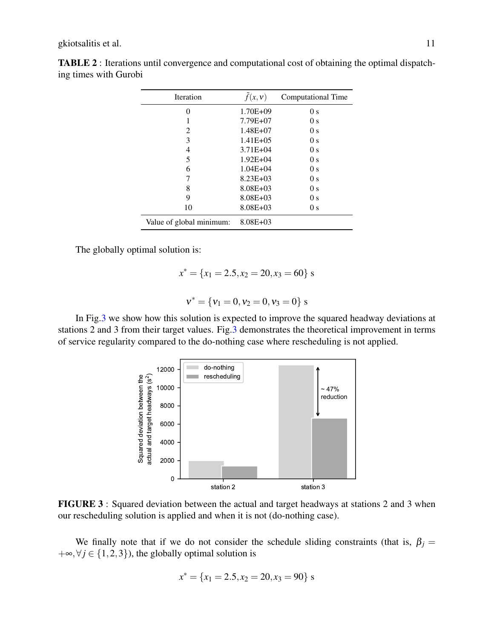| <b>Iteration</b>         | $\tilde{f}(x, v)$ | Computational Time |
|--------------------------|-------------------|--------------------|
| 0                        | $1.70E + 09$      | 0 <sub>s</sub>     |
|                          | 7.79E+07          | 0 <sub>s</sub>     |
| $\mathfrak{D}$           | $1.48E + 07$      | 0 <sub>s</sub>     |
| 3                        | $1.41E + 0.5$     | 0 <sub>s</sub>     |
| 4                        | $3.71E + 04$      | 0 <sub>s</sub>     |
| 5                        | $1.92E + 04$      | 0 <sub>s</sub>     |
| 6                        | $1.04E + 04$      | 0 <sub>s</sub>     |
| 7                        | $8.23E + 03$      | 0 <sub>s</sub>     |
| 8                        | $8.08E + 03$      | 0 <sub>s</sub>     |
| 9                        | $8.08E + 03$      | 0 <sub>s</sub>     |
| 10                       | $8.08E + 03$      | 0 <sub>s</sub>     |
| Value of global minimum: | $8.08E + 03$      |                    |

<span id="page-11-0"></span>TABLE 2 : Iterations until convergence and computational cost of obtaining the optimal dispatching times with Gurobi

The globally optimal solution is:

$$
x^* = \{x_1 = 2.5, x_2 = 20, x_3 = 60\} \text{ s}
$$

$$
v^* = \{v_1 = 0, v_2 = 0, v_3 = 0\} \text{ s}
$$

<span id="page-11-1"></span>In Fig[.3](#page-11-1) we show how this solution is expected to improve the squared headway deviations at stations 2 and 3 from their target values. Fig[.3](#page-11-1) demonstrates the theoretical improvement in terms of service regularity compared to the do-nothing case where rescheduling is not applied.



FIGURE 3 : Squared deviation between the actual and target headways at stations 2 and 3 when our rescheduling solution is applied and when it is not (do-nothing case).

We finally note that if we do not consider the schedule sliding constraints (that is,  $\beta_j =$  $+\infty, \forall j \in \{1, 2, 3\}$ , the globally optimal solution is

$$
x^* = \{x_1 = 2.5, x_2 = 20, x_3 = 90\} \text{ s}
$$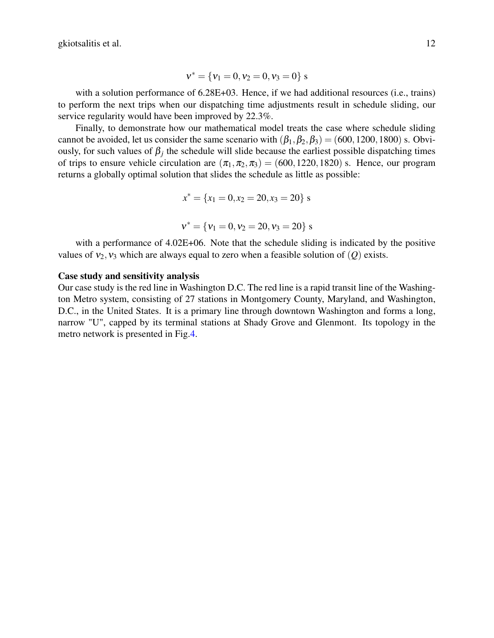$$
\nu^* = \{\nu_1 = 0, \nu_2 = 0, \nu_3 = 0\} \; s
$$

with a solution performance of  $6.28E+03$ . Hence, if we had additional resources (i.e., trains) to perform the next trips when our dispatching time adjustments result in schedule sliding, our service regularity would have been improved by 22.3%.

Finally, to demonstrate how our mathematical model treats the case where schedule sliding cannot be avoided, let us consider the same scenario with  $(\beta_1, \beta_2, \beta_3) = (600, 1200, 1800)$  s. Obviously, for such values of  $\beta_j$  the schedule will slide because the earliest possible dispatching times of trips to ensure vehicle circulation are  $(\pi_1, \pi_2, \pi_3) = (600, 1220, 1820)$  s. Hence, our program returns a globally optimal solution that slides the schedule as little as possible:

$$
x^* = \{x_1 = 0, x_2 = 20, x_3 = 20\} \text{ s}
$$

$$
\nu^*=\{\nu_1=0,\nu_2=20,\nu_3=20\}\;s
$$

with a performance of 4.02E+06. Note that the schedule sliding is indicated by the positive values of  $v_2$ ,  $v_3$  which are always equal to zero when a feasible solution of (*Q*) exists.

#### Case study and sensitivity analysis

Our case study is the red line in Washington D.C. The red line is a rapid transit line of the Washington Metro system, consisting of 27 stations in Montgomery County, Maryland, and Washington, D.C., in the United States. It is a primary line through downtown Washington and forms a long, narrow "U", capped by its terminal stations at Shady Grove and Glenmont. Its topology in the metro network is presented in Fig[.4.](#page-13-0)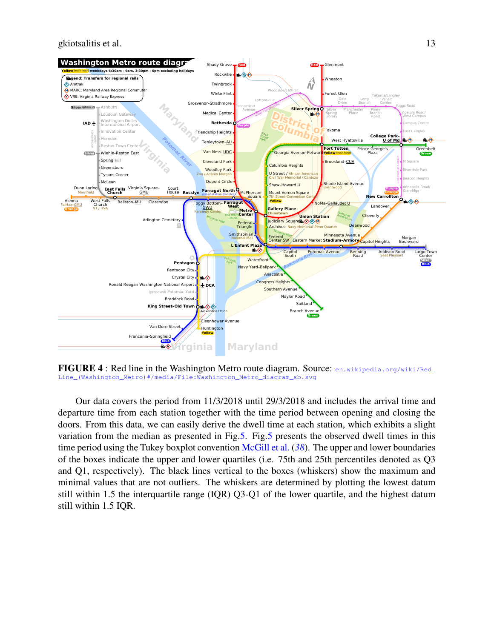gkiotsalitis et al. 13

<span id="page-13-0"></span>

**FIGURE 4**: Red line in the Washington Metro route diagram. Source: [en.wikipedia.org/wiki/Red\\_](en.wikipedia.org/wiki/Red_Line_(Washington_Metro)#/media/File:Washington_Metro_diagram_sb.svg) [Line\\_\(Washington\\_Metro\)#/media/File:Washington\\_Metro\\_diagram\\_sb.svg](en.wikipedia.org/wiki/Red_Line_(Washington_Metro)#/media/File:Washington_Metro_diagram_sb.svg)

Our data covers the period from 11/3/2018 until 29/3/2018 and includes the arrival time and departure time from each station together with the time period between opening and closing the doors. From this data, we can easily derive the dwell time at each station, which exhibits a slight variation from the median as presented in Fig[.5.](#page-14-0) Fig[.5](#page-14-0) presents the observed dwell times in this time period using the Tukey boxplot convention [McGill et al.](#page-18-16) (*[38](#page-18-16)*). The upper and lower boundaries of the boxes indicate the upper and lower quartiles (i.e. 75th and 25th percentiles denoted as Q3 and Q1, respectively). The black lines vertical to the boxes (whiskers) show the maximum and minimal values that are not outliers. The whiskers are determined by plotting the lowest datum still within 1.5 the interquartile range (IQR) Q3-Q1 of the lower quartile, and the highest datum still within 1.5 IQR.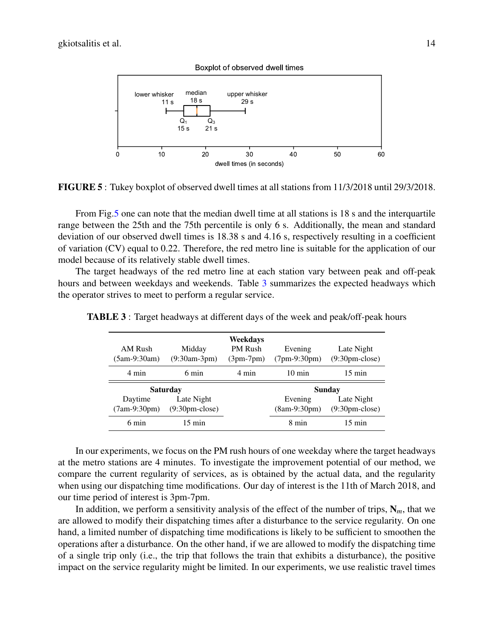<span id="page-14-0"></span>

FIGURE 5 : Tukey boxplot of observed dwell times at all stations from 11/3/2018 until 29/3/2018.

From Fig[.5](#page-14-0) one can note that the median dwell time at all stations is 18 s and the interquartile range between the 25th and the 75th percentile is only 6 s. Additionally, the mean and standard deviation of our observed dwell times is 18.38 s and 4.16 s, respectively resulting in a coefficient of variation (CV) equal to 0.22. Therefore, the red metro line is suitable for the application of our model because of its relatively stable dwell times.

The target headways of the red metro line at each station vary between peak and off-peak hours and between weekdays and weekends. Table [3](#page-14-1) summarizes the expected headways which the operator strives to meet to perform a regular service.

| AM Rush<br>$(5am-9:30am)$ | Midday<br>$(9:30am-3pm)$ | Weekdays<br>PM Rush<br>$(3pm-7pm)$ | Evening<br>$(7pm-9:30pm)$ | Late Night<br>$(9:30pm-close)$ |
|---------------------------|--------------------------|------------------------------------|---------------------------|--------------------------------|
| 4 min                     | 6 min                    | 4 min                              | $10 \text{ min}$          | $15 \text{ min}$               |
|                           | <b>Saturday</b>          |                                    | Sunday                    |                                |
| Daytime                   | Late Night               |                                    | Evening                   | Late Night                     |
| $(7am-9:30pm)$            | $(9:30pm-close)$         |                                    | $(8am-9:30pm)$            | $(9:30pm-close)$               |
| 6 min                     | $15 \text{ min}$         |                                    | 8 min                     | $15 \text{ min}$               |

<span id="page-14-1"></span>TABLE 3 : Target headways at different days of the week and peak/off-peak hours

In our experiments, we focus on the PM rush hours of one weekday where the target headways at the metro stations are 4 minutes. To investigate the improvement potential of our method, we compare the current regularity of services, as is obtained by the actual data, and the regularity when using our dispatching time modifications. Our day of interest is the 11th of March 2018, and our time period of interest is 3pm-7pm.

In addition, we perform a sensitivity analysis of the effect of the number of trips,  $N_m$ , that we are allowed to modify their dispatching times after a disturbance to the service regularity. On one hand, a limited number of dispatching time modifications is likely to be sufficient to smoothen the operations after a disturbance. On the other hand, if we are allowed to modify the dispatching time of a single trip only (i.e., the trip that follows the train that exhibits a disturbance), the positive impact on the service regularity might be limited. In our experiments, we use realistic travel times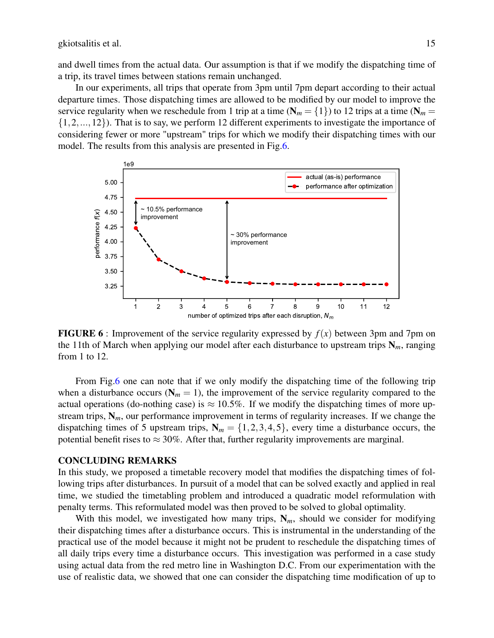and dwell times from the actual data. Our assumption is that if we modify the dispatching time of a trip, its travel times between stations remain unchanged.

In our experiments, all trips that operate from 3pm until 7pm depart according to their actual departure times. Those dispatching times are allowed to be modified by our model to improve the service regularity when we reschedule from 1 trip at a time ( $N_m = \{1\}$ ) to 12 trips at a time ( $N_m =$  $\{1,2,...,12\}$ ). That is to say, we perform 12 different experiments to investigate the importance of considering fewer or more "upstream" trips for which we modify their dispatching times with our model. The results from this analysis are presented in Fig[.6.](#page-15-1)

<span id="page-15-1"></span>

**FIGURE 6** : Improvement of the service regularity expressed by  $f(x)$  between 3pm and 7pm on the 11th of March when applying our model after each disturbance to upstream trips  $N_m$ , ranging from 1 to 12.

From Fig[.6](#page-15-1) one can note that if we only modify the dispatching time of the following trip when a disturbance occurs ( $N_m = 1$ ), the improvement of the service regularity compared to the actual operations (do-nothing case) is  $\approx 10.5\%$ . If we modify the dispatching times of more upstream trips,  $N_m$ , our performance improvement in terms of regularity increases. If we change the dispatching times of 5 upstream trips,  $N_m = \{1, 2, 3, 4, 5\}$ , every time a disturbance occurs, the potential benefit rises to  $\approx 30\%$ . After that, further regularity improvements are marginal.

#### <span id="page-15-0"></span>CONCLUDING REMARKS

In this study, we proposed a timetable recovery model that modifies the dispatching times of following trips after disturbances. In pursuit of a model that can be solved exactly and applied in real time, we studied the timetabling problem and introduced a quadratic model reformulation with penalty terms. This reformulated model was then proved to be solved to global optimality.

With this model, we investigated how many trips,  $N_m$ , should we consider for modifying their dispatching times after a disturbance occurs. This is instrumental in the understanding of the practical use of the model because it might not be prudent to reschedule the dispatching times of all daily trips every time a disturbance occurs. This investigation was performed in a case study using actual data from the red metro line in Washington D.C. From our experimentation with the use of realistic data, we showed that one can consider the dispatching time modification of up to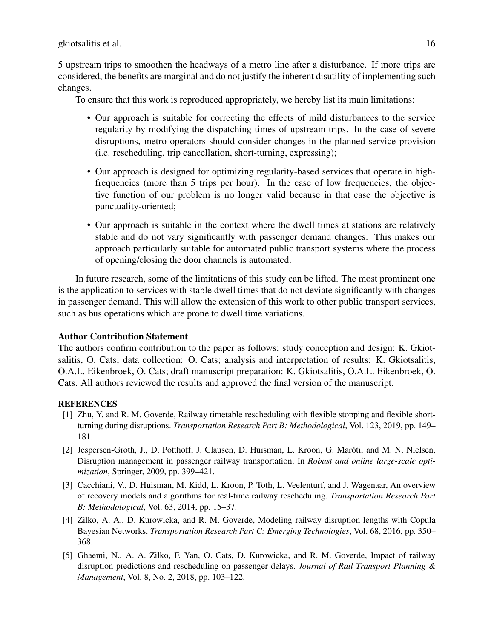5 upstream trips to smoothen the headways of a metro line after a disturbance. If more trips are considered, the benefits are marginal and do not justify the inherent disutility of implementing such changes.

To ensure that this work is reproduced appropriately, we hereby list its main limitations:

- Our approach is suitable for correcting the effects of mild disturbances to the service regularity by modifying the dispatching times of upstream trips. In the case of severe disruptions, metro operators should consider changes in the planned service provision (i.e. rescheduling, trip cancellation, short-turning, expressing);
- Our approach is designed for optimizing regularity-based services that operate in highfrequencies (more than 5 trips per hour). In the case of low frequencies, the objective function of our problem is no longer valid because in that case the objective is punctuality-oriented;
- Our approach is suitable in the context where the dwell times at stations are relatively stable and do not vary significantly with passenger demand changes. This makes our approach particularly suitable for automated public transport systems where the process of opening/closing the door channels is automated.

In future research, some of the limitations of this study can be lifted. The most prominent one is the application to services with stable dwell times that do not deviate significantly with changes in passenger demand. This will allow the extension of this work to other public transport services, such as bus operations which are prone to dwell time variations.

# Author Contribution Statement

The authors confirm contribution to the paper as follows: study conception and design: K. Gkiotsalitis, O. Cats; data collection: O. Cats; analysis and interpretation of results: K. Gkiotsalitis, O.A.L. Eikenbroek, O. Cats; draft manuscript preparation: K. Gkiotsalitis, O.A.L. Eikenbroek, O. Cats. All authors reviewed the results and approved the final version of the manuscript.

# **REFERENCES**

- <span id="page-16-0"></span>[1] Zhu, Y. and R. M. Goverde, Railway timetable rescheduling with flexible stopping and flexible shortturning during disruptions. *Transportation Research Part B: Methodological*, Vol. 123, 2019, pp. 149– 181.
- <span id="page-16-1"></span>[2] Jespersen-Groth, J., D. Potthoff, J. Clausen, D. Huisman, L. Kroon, G. Maróti, and M. N. Nielsen, Disruption management in passenger railway transportation. In *Robust and online large-scale optimization*, Springer, 2009, pp. 399–421.
- <span id="page-16-2"></span>[3] Cacchiani, V., D. Huisman, M. Kidd, L. Kroon, P. Toth, L. Veelenturf, and J. Wagenaar, An overview of recovery models and algorithms for real-time railway rescheduling. *Transportation Research Part B: Methodological*, Vol. 63, 2014, pp. 15–37.
- <span id="page-16-3"></span>[4] Zilko, A. A., D. Kurowicka, and R. M. Goverde, Modeling railway disruption lengths with Copula Bayesian Networks. *Transportation Research Part C: Emerging Technologies*, Vol. 68, 2016, pp. 350– 368.
- <span id="page-16-4"></span>[5] Ghaemi, N., A. A. Zilko, F. Yan, O. Cats, D. Kurowicka, and R. M. Goverde, Impact of railway disruption predictions and rescheduling on passenger delays. *Journal of Rail Transport Planning & Management*, Vol. 8, No. 2, 2018, pp. 103–122.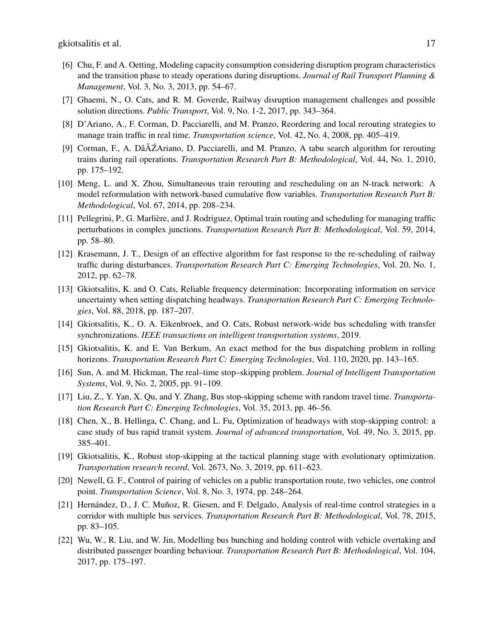- <span id="page-17-0"></span>[6] Chu, F. and A. Oetting, Modeling capacity consumption considering disruption program characteristics and the transition phase to steady operations during disruptions. *Journal of Rail Transport Planning & Management*, Vol. 3, No. 3, 2013, pp. 54–67.
- <span id="page-17-1"></span>[7] Ghaemi, N., O. Cats, and R. M. Goverde, Railway disruption management challenges and possible solution directions. *Public Transport*, Vol. 9, No. 1-2, 2017, pp. 343–364.
- <span id="page-17-2"></span>[8] D'Ariano, A., F. Corman, D. Pacciarelli, and M. Pranzo, Reordering and local rerouting strategies to manage train traffic in real time. *Transportation science*, Vol. 42, No. 4, 2008, pp. 405–419.
- <span id="page-17-3"></span>[9] Corman, F., A. Dâ $\Delta Z$ Ariano, D. Pacciarelli, and M. Pranzo, A tabu search algorithm for rerouting trains during rail operations. *Transportation Research Part B: Methodological*, Vol. 44, No. 1, 2010, pp. 175–192.
- <span id="page-17-4"></span>[10] Meng, L. and X. Zhou, Simultaneous train rerouting and rescheduling on an N-track network: A model reformulation with network-based cumulative flow variables. *Transportation Research Part B: Methodological*, Vol. 67, 2014, pp. 208–234.
- <span id="page-17-5"></span>[11] Pellegrini, P., G. Marlière, and J. Rodriguez, Optimal train routing and scheduling for managing traffic perturbations in complex junctions. *Transportation Research Part B: Methodological*, Vol. 59, 2014, pp. 58–80.
- <span id="page-17-6"></span>[12] Krasemann, J. T., Design of an effective algorithm for fast response to the re-scheduling of railway traffic during disturbances. *Transportation Research Part C: Emerging Technologies*, Vol. 20, No. 1, 2012, pp. 62–78.
- <span id="page-17-7"></span>[13] Gkiotsalitis, K. and O. Cats, Reliable frequency determination: Incorporating information on service uncertainty when setting dispatching headways. *Transportation Research Part C: Emerging Technologies*, Vol. 88, 2018, pp. 187–207.
- <span id="page-17-8"></span>[14] Gkiotsalitis, K., O. A. Eikenbroek, and O. Cats, Robust network-wide bus scheduling with transfer synchronizations. *IEEE transactions on intelligent transportation systems*, 2019.
- <span id="page-17-9"></span>[15] Gkiotsalitis, K. and E. Van Berkum, An exact method for the bus dispatching problem in rolling horizons. *Transportation Research Part C: Emerging Technologies*, Vol. 110, 2020, pp. 143–165.
- <span id="page-17-10"></span>[16] Sun, A. and M. Hickman, The real–time stop–skipping problem. *Journal of Intelligent Transportation Systems*, Vol. 9, No. 2, 2005, pp. 91–109.
- <span id="page-17-11"></span>[17] Liu, Z., Y. Yan, X. Qu, and Y. Zhang, Bus stop-skipping scheme with random travel time. *Transportation Research Part C: Emerging Technologies*, Vol. 35, 2013, pp. 46–56.
- <span id="page-17-12"></span>[18] Chen, X., B. Hellinga, C. Chang, and L. Fu, Optimization of headways with stop-skipping control: a case study of bus rapid transit system. *Journal of advanced transportation*, Vol. 49, No. 3, 2015, pp. 385–401.
- <span id="page-17-13"></span>[19] Gkiotsalitis, K., Robust stop-skipping at the tactical planning stage with evolutionary optimization. *Transportation research record*, Vol. 2673, No. 3, 2019, pp. 611–623.
- <span id="page-17-14"></span>[20] Newell, G. F., Control of pairing of vehicles on a public transportation route, two vehicles, one control point. *Transportation Science*, Vol. 8, No. 3, 1974, pp. 248–264.
- <span id="page-17-15"></span>[21] Hernández, D., J. C. Muñoz, R. Giesen, and F. Delgado, Analysis of real-time control strategies in a corridor with multiple bus services. *Transportation Research Part B: Methodological*, Vol. 78, 2015, pp. 83–105.
- <span id="page-17-16"></span>[22] Wu, W., R. Liu, and W. Jin, Modelling bus bunching and holding control with vehicle overtaking and distributed passenger boarding behaviour. *Transportation Research Part B: Methodological*, Vol. 104, 2017, pp. 175–197.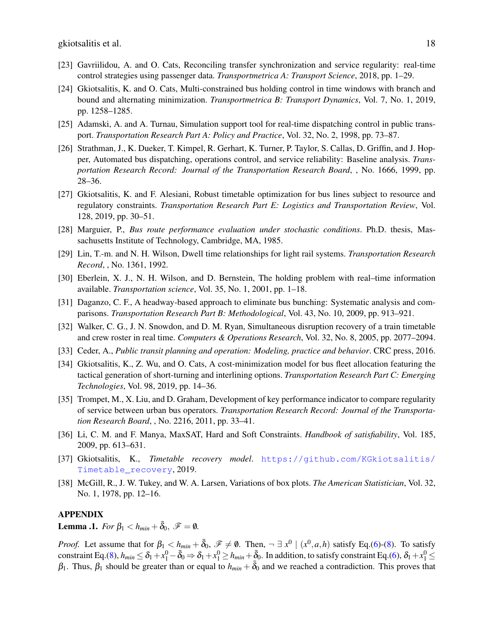- <span id="page-18-0"></span>[23] Gavriilidou, A. and O. Cats, Reconciling transfer synchronization and service regularity: real-time control strategies using passenger data. *Transportmetrica A: Transport Science*, 2018, pp. 1–29.
- <span id="page-18-1"></span>[24] Gkiotsalitis, K. and O. Cats, Multi-constrained bus holding control in time windows with branch and bound and alternating minimization. *Transportmetrica B: Transport Dynamics*, Vol. 7, No. 1, 2019, pp. 1258–1285.
- <span id="page-18-2"></span>[25] Adamski, A. and A. Turnau, Simulation support tool for real-time dispatching control in public transport. *Transportation Research Part A: Policy and Practice*, Vol. 32, No. 2, 1998, pp. 73–87.
- <span id="page-18-3"></span>[26] Strathman, J., K. Dueker, T. Kimpel, R. Gerhart, K. Turner, P. Taylor, S. Callas, D. Griffin, and J. Hopper, Automated bus dispatching, operations control, and service reliability: Baseline analysis. *Transportation Research Record: Journal of the Transportation Research Board*, , No. 1666, 1999, pp. 28–36.
- <span id="page-18-4"></span>[27] Gkiotsalitis, K. and F. Alesiani, Robust timetable optimization for bus lines subject to resource and regulatory constraints. *Transportation Research Part E: Logistics and Transportation Review*, Vol. 128, 2019, pp. 30–51.
- <span id="page-18-5"></span>[28] Marguier, P., *Bus route performance evaluation under stochastic conditions*. Ph.D. thesis, Massachusetts Institute of Technology, Cambridge, MA, 1985.
- <span id="page-18-6"></span>[29] Lin, T.-m. and N. H. Wilson, Dwell time relationships for light rail systems. *Transportation Research Record*, , No. 1361, 1992.
- <span id="page-18-7"></span>[30] Eberlein, X. J., N. H. Wilson, and D. Bernstein, The holding problem with real–time information available. *Transportation science*, Vol. 35, No. 1, 2001, pp. 1–18.
- <span id="page-18-8"></span>[31] Daganzo, C. F., A headway-based approach to eliminate bus bunching: Systematic analysis and comparisons. *Transportation Research Part B: Methodological*, Vol. 43, No. 10, 2009, pp. 913–921.
- <span id="page-18-9"></span>[32] Walker, C. G., J. N. Snowdon, and D. M. Ryan, Simultaneous disruption recovery of a train timetable and crew roster in real time. *Computers & Operations Research*, Vol. 32, No. 8, 2005, pp. 2077–2094.
- <span id="page-18-10"></span>[33] Ceder, A., *Public transit planning and operation: Modeling, practice and behavior*. CRC press, 2016.
- <span id="page-18-11"></span>[34] Gkiotsalitis, K., Z. Wu, and O. Cats, A cost-minimization model for bus fleet allocation featuring the tactical generation of short-turning and interlining options. *Transportation Research Part C: Emerging Technologies*, Vol. 98, 2019, pp. 14–36.
- <span id="page-18-12"></span>[35] Trompet, M., X. Liu, and D. Graham, Development of key performance indicator to compare regularity of service between urban bus operators. *Transportation Research Record: Journal of the Transportation Research Board*, , No. 2216, 2011, pp. 33–41.
- <span id="page-18-14"></span>[36] Li, C. M. and F. Manya, MaxSAT, Hard and Soft Constraints. *Handbook of satisfiability*, Vol. 185, 2009, pp. 613–631.
- <span id="page-18-15"></span>[37] Gkiotsalitis, K., *Timetable recovery model*. [https://github.com/KGkiotsalitis/](https://github.com/KGkiotsalitis/Timetable_recovery) [Timetable\\_recovery](https://github.com/KGkiotsalitis/Timetable_recovery), 2019.
- <span id="page-18-16"></span>[38] McGill, R., J. W. Tukey, and W. A. Larsen, Variations of box plots. *The American Statistician*, Vol. 32, No. 1, 1978, pp. 12–16.

#### APPENDIX

<span id="page-18-13"></span>**Lemma .1.** *For*  $\beta_1 < h_{min} + \overline{\delta}_0$ ,  $\mathscr{F} = \emptyset$ .

*Proof.* Let assume that for  $\beta_1 < h_{min} + \overline{\delta}_0$ ,  $\mathscr{F} \neq \emptyset$ . Then,  $\neg \exists x^0 \mid (x^0, a, h)$  satisfy Eq.[\(6\)](#page-6-3)-[\(8\)](#page-6-5). To satisfy constraint Eq.[\(8\)](#page-6-5),  $h_{min} \leq \delta_1 + x_1^0 - \bar{\delta}_0 \Rightarrow \delta_1 + x_1^0 \geq h_{min} + \bar{\delta}_0$ . In addition, to satisfy constraint Eq.[\(6\)](#page-6-3),  $\delta_1 + x_1^0 \leq$  $β_1$ . Thus,  $β_1$  should be greater than or equal to  $h_{min} + δ_0$  and we reached a contradiction. This proves that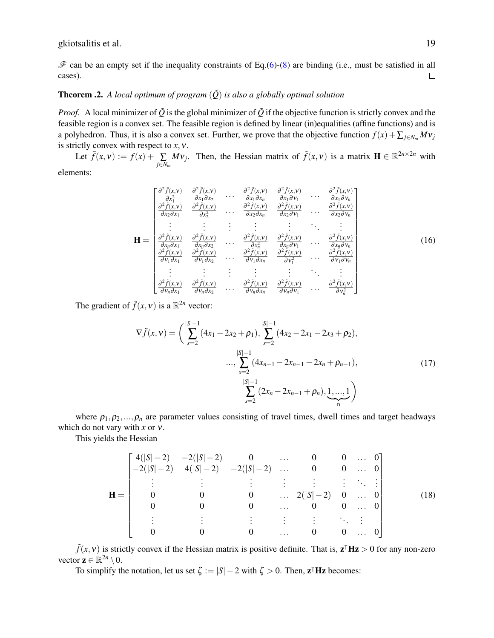$\mathscr F$  can be an empty set if the inequality constraints of Eq.[\(6\)](#page-6-3)-[\(8\)](#page-6-5) are binding (i.e., must be satisfied in all cases).  $\Box$ 

## <span id="page-19-0"></span>**Theorem .2.** A local optimum of program  $(\tilde{Q})$  is also a globally optimal solution

*Proof.* A local minimizer of  $\tilde{Q}$  is the global minimizer of  $\tilde{Q}$  if the objective function is strictly convex and the feasible region is a convex set. The feasible region is defined by linear (in)equalities (affine functions) and is a polyhedron. Thus, it is also a convex set. Further, we prove that the objective function  $f(x) + \sum_{j \in N_m} Mv_j$ is strictly convex with respect to  $x, y$ .

Let  $\tilde{f}(x, v) := f(x) + \sum_{j \in N_m} Mv_j$ . Then, the Hessian matrix of  $\tilde{f}(x, v)$  is a matrix  $\mathbf{H} \in \mathbb{R}^{2n \times 2n}$  with elements:

$$
\mathbf{H} = \begin{bmatrix} \frac{\partial^2 \tilde{f}(x, \mathbf{v})}{\partial x_1^2} & \frac{\partial^2 \tilde{f}(x, \mathbf{v})}{\partial x_1 \partial x_2} & \cdots & \frac{\partial^2 \tilde{f}(x, \mathbf{v})}{\partial x_1 \partial x_n} & \frac{\partial^2 \tilde{f}(x, \mathbf{v})}{\partial x_1 \partial y_1} & \cdots & \frac{\partial^2 \tilde{f}(x, \mathbf{v})}{\partial x_1 \partial y_n} \\ \frac{\partial^2 \tilde{f}(x, \mathbf{v})}{\partial x_2 \partial x_1} & \frac{\partial^2 \tilde{f}(x, \mathbf{v})}{\partial x_2^2} & \cdots & \frac{\partial^2 \tilde{f}(x, \mathbf{v})}{\partial x_2 \partial x_n} & \frac{\partial^2 \tilde{f}(x, \mathbf{v})}{\partial x_2 \partial y_1} & \cdots & \frac{\partial^2 \tilde{f}(x, \mathbf{v})}{\partial x_2 \partial y_n} \\ \vdots & \vdots & \vdots & \vdots & \vdots & \vdots & \vdots \\ \frac{\partial^2 \tilde{f}(x, \mathbf{v})}{\partial x_n \partial x_1} & \frac{\partial^2 \tilde{f}(x, \mathbf{v})}{\partial x_n \partial x_2} & \cdots & \frac{\partial^2 \tilde{f}(x, \mathbf{v})}{\partial x_n^2} & \frac{\partial^2 \tilde{f}(x, \mathbf{v})}{\partial x_n \partial y_1} & \cdots & \frac{\partial^2 \tilde{f}(x, \mathbf{v})}{\partial x_n \partial y_n} \\ \frac{\partial^2 \tilde{f}(x, \mathbf{v})}{\partial y_1 \partial x_1} & \frac{\partial^2 \tilde{f}(x, \mathbf{v})}{\partial y_1 \partial x_2} & \cdots & \frac{\partial^2 \tilde{f}(x, \mathbf{v})}{\partial y_1 \partial x_n} & \frac{\partial^2 \tilde{f}(x, \mathbf{v})}{\partial y_1^2} & \cdots & \frac{\partial^2 \tilde{f}(x, \mathbf{v})}{\partial y_1 \partial y_n} \\ \vdots & \vdots & \vdots & \vdots & \vdots & \vdots \\ \frac{\partial^2 \tilde{f}(x, \mathbf{v})}{\partial y_n \partial
$$

The gradient of  $\tilde{f}(x, v)$  is a  $\mathbb{R}^{2n}$  vector:

$$
\nabla \tilde{f}(x, v) = \left(\sum_{s=2}^{|S|-1} (4x_1 - 2x_2 + \rho_1), \sum_{s=2}^{|S|-1} (4x_2 - 2x_1 - 2x_3 + \rho_2),\right.\\ \left.\sum_{s=2}^{|S|-1} (4x_{n-1} - 2x_{n-1} - 2x_n + \rho_{n-1}),\right.\\ \left.\sum_{s=2}^{|S|-1} (2x_n - 2x_{n-1} + \rho_n), \underbrace{1, \dots, 1}_{n}\right)
$$
\n(17)

where  $\rho_1, \rho_2, ..., \rho_n$  are parameter values consisting of travel times, dwell times and target headways which do not vary with *x* or ν.

This yields the Hessian

$$
\mathbf{H} = \begin{bmatrix} 4(|S|-2) & -2(|S|-2) & 0 & \cdots & 0 & 0 & \cdots & 0 \\ -2(|S|-2) & 4(|S|-2) & -2(|S|-2) & \cdots & 0 & 0 & \cdots & 0 \\ \vdots & \vdots & \vdots & \vdots & \vdots & \vdots & \ddots & \vdots \\ 0 & 0 & 0 & 0 & \cdots & 2(|S|-2) & 0 & \cdots & 0 \\ 0 & 0 & 0 & \cdots & 0 & 0 & \cdots & 0 \\ \vdots & \vdots & \vdots & \vdots & \vdots & \ddots & \vdots \\ 0 & 0 & 0 & \cdots & 0 & 0 & \cdots & 0 \end{bmatrix}
$$
(18)

 $\tilde{f}(x, v)$  is strictly convex if the Hessian matrix is positive definite. That is,  $z^{\intercal}$ H $z > 0$  for any non-zero vector  $\mathbf{z} \in \mathbb{R}^{2n} \setminus \mathbf{0}$ .

To simplify the notation, let us set  $\zeta := |S| - 2$  with  $\zeta > 0$ . Then,  $z^{\intercal}$  Hz becomes: